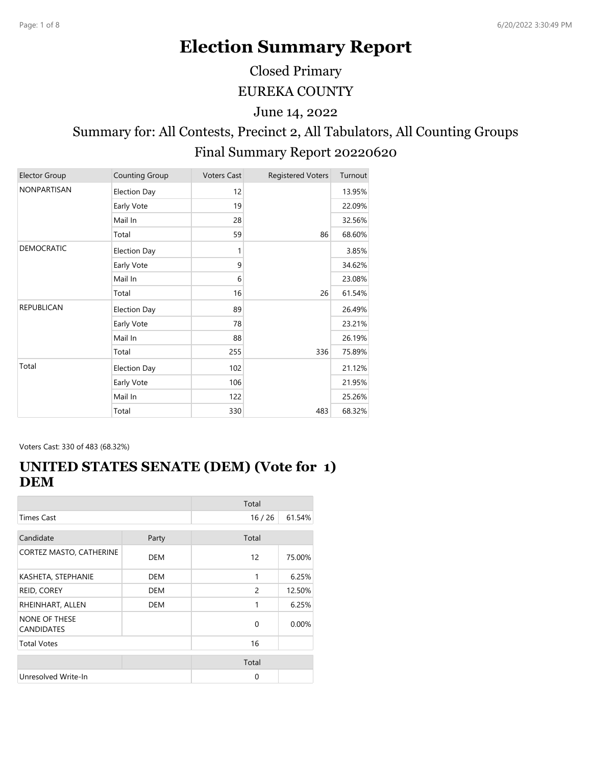# **Election Summary Report**

Closed Primary

EUREKA COUNTY

June 14, 2022

# Summary for: All Contests, Precinct 2, All Tabulators, All Counting Groups Final Summary Report 20220620

| <b>Elector Group</b> | Counting Group      | <b>Voters Cast</b> | <b>Registered Voters</b> | Turnout |
|----------------------|---------------------|--------------------|--------------------------|---------|
| NONPARTISAN          | <b>Election Day</b> | 12                 |                          | 13.95%  |
|                      | Early Vote          | 19                 |                          | 22.09%  |
|                      | Mail In             | 28                 |                          | 32.56%  |
|                      | Total               | 59                 | 86                       | 68.60%  |
| <b>DEMOCRATIC</b>    | <b>Election Day</b> | 1                  |                          | 3.85%   |
|                      | Early Vote          | 9                  |                          | 34.62%  |
|                      | Mail In             | 6                  |                          | 23.08%  |
|                      | Total               | 16                 | 26                       | 61.54%  |
| <b>REPUBLICAN</b>    | Election Day        | 89                 |                          | 26.49%  |
|                      | Early Vote          | 78                 |                          | 23.21%  |
|                      | Mail In             | 88                 |                          | 26.19%  |
|                      | Total               | 255                | 336                      | 75.89%  |
| Total                | <b>Election Day</b> | 102                |                          | 21.12%  |
|                      | Early Vote          | 106                |                          | 21.95%  |
|                      | Mail In             | 122                |                          | 25.26%  |
|                      | Total               | 330                | 483                      | 68.32%  |

Voters Cast: 330 of 483 (68.32%)

#### **UNITED STATES SENATE (DEM) (Vote for 1) DEM**

|                                           |            | Total |        |
|-------------------------------------------|------------|-------|--------|
| <b>Times Cast</b>                         |            | 16/26 | 61.54% |
| Candidate                                 | Party      | Total |        |
|                                           |            |       |        |
| CORTEZ MASTO, CATHERINE                   | <b>DEM</b> | 12    | 75.00% |
| KASHETA, STEPHANIE                        | DEM        | 1     | 6.25%  |
| REID, COREY                               | DEM        | 2     | 12.50% |
| RHEINHART, ALLEN                          | DEM        | 1     | 6.25%  |
| <b>NONE OF THESE</b><br><b>CANDIDATES</b> |            | 0     | 0.00%  |
| <b>Total Votes</b>                        |            | 16    |        |
|                                           |            | Total |        |
| Unresolved Write-In                       |            | 0     |        |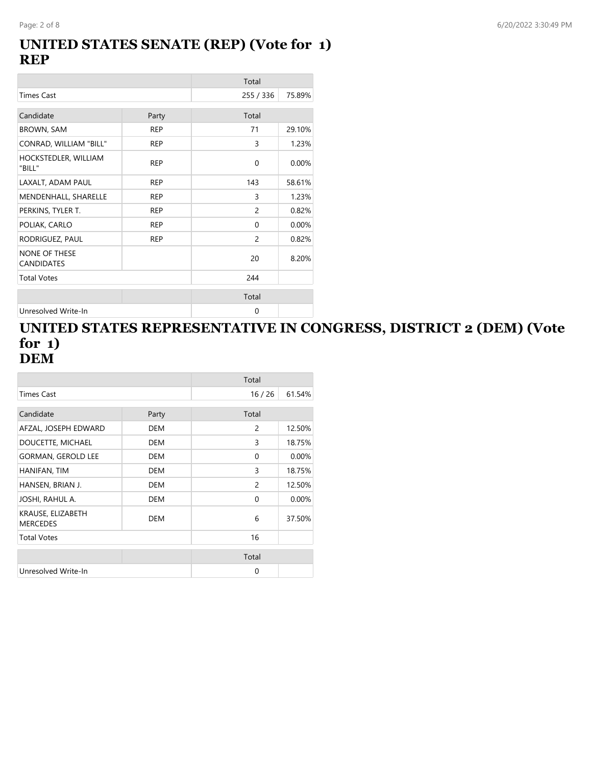#### **UNITED STATES SENATE (REP) (Vote for 1) REP**

|                                           |            | Total          |        |
|-------------------------------------------|------------|----------------|--------|
| <b>Times Cast</b>                         |            | 255 / 336      | 75.89% |
| Candidate                                 | Party      | Total          |        |
| <b>BROWN, SAM</b>                         | <b>REP</b> | 71             | 29.10% |
| CONRAD, WILLIAM "BILL"                    | <b>REP</b> | 3              | 1.23%  |
| HOCKSTEDLER, WILLIAM<br>"BILL"            | <b>REP</b> | 0              | 0.00%  |
| LAXALT, ADAM PAUL                         | <b>REP</b> | 143            | 58.61% |
| MENDENHALL, SHARELLE                      | <b>REP</b> | 3              | 1.23%  |
| PERKINS, TYLER T.                         | <b>REP</b> | $\overline{c}$ | 0.82%  |
| POLIAK, CARLO                             | <b>REP</b> | $\Omega$       | 0.00%  |
| RODRIGUEZ, PAUL                           | <b>REP</b> | $\overline{c}$ | 0.82%  |
| <b>NONE OF THESE</b><br><b>CANDIDATES</b> |            | 20             | 8.20%  |
| <b>Total Votes</b>                        |            | 244            |        |
|                                           |            | Total          |        |
| Unresolved Write-In                       |            | 0              |        |

#### **UNITED STATES REPRESENTATIVE IN CONGRESS, DISTRICT 2 (DEM) (Vote for 1) DEM**

|                                      |            | Total          |        |
|--------------------------------------|------------|----------------|--------|
| Times Cast                           |            | 16/26          | 61.54% |
| Candidate                            | Party      | Total          |        |
| AFZAL, JOSEPH EDWARD                 | <b>DEM</b> | 2              | 12.50% |
| DOUCETTE, MICHAEL                    | <b>DEM</b> | 3              | 18.75% |
| <b>GORMAN, GEROLD LEE</b>            | <b>DEM</b> | $\Omega$       | 0.00%  |
| HANIFAN, TIM                         | <b>DEM</b> | 3              | 18.75% |
| HANSEN, BRIAN J.                     | <b>DEM</b> | $\overline{c}$ | 12.50% |
| JOSHI, RAHUL A.                      | <b>DEM</b> | 0              | 0.00%  |
| KRAUSE, ELIZABETH<br><b>MERCEDES</b> | <b>DEM</b> | 6              | 37.50% |
| <b>Total Votes</b>                   |            | 16             |        |
|                                      |            | Total          |        |
| Unresolved Write-In                  |            | 0              |        |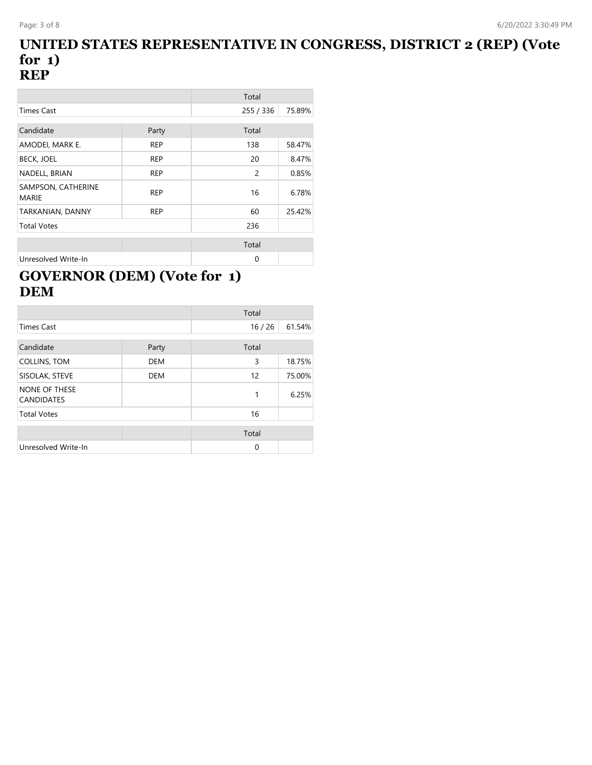#### **UNITED STATES REPRESENTATIVE IN CONGRESS, DISTRICT 2 (REP) (Vote for 1) REP**

|                                    |            | Total     |        |
|------------------------------------|------------|-----------|--------|
| <b>Times Cast</b>                  |            | 255 / 336 | 75.89% |
|                                    |            |           |        |
| Candidate                          | Party      | Total     |        |
| AMODEI, MARK E.                    | <b>REP</b> | 138       | 58.47% |
| <b>BECK, JOEL</b>                  | <b>REP</b> | 20        | 8.47%  |
| NADELL, BRIAN                      | <b>REP</b> | 2         | 0.85%  |
| SAMPSON, CATHERINE<br><b>MARIE</b> | <b>REP</b> | 16        | 6.78%  |
| TARKANIAN, DANNY                   | <b>REP</b> | 60        | 25.42% |
| <b>Total Votes</b>                 |            | 236       |        |
|                                    |            |           |        |
|                                    |            | Total     |        |
| Unresolved Write-In                |            | $\Omega$  |        |

# **GOVERNOR (DEM) (Vote for 1) DEM**

|                                           |            | Total |        |
|-------------------------------------------|------------|-------|--------|
| <b>Times Cast</b>                         |            | 16/26 | 61.54% |
| Candidate                                 | Party      | Total |        |
| COLLINS, TOM                              | <b>DEM</b> | 3     | 18.75% |
| SISOLAK, STEVE                            | <b>DEM</b> | 12    | 75.00% |
| <b>NONE OF THESE</b><br><b>CANDIDATES</b> |            | 1     | 6.25%  |
| <b>Total Votes</b>                        |            | 16    |        |
|                                           |            | Total |        |
| Unresolved Write-In                       |            | 0     |        |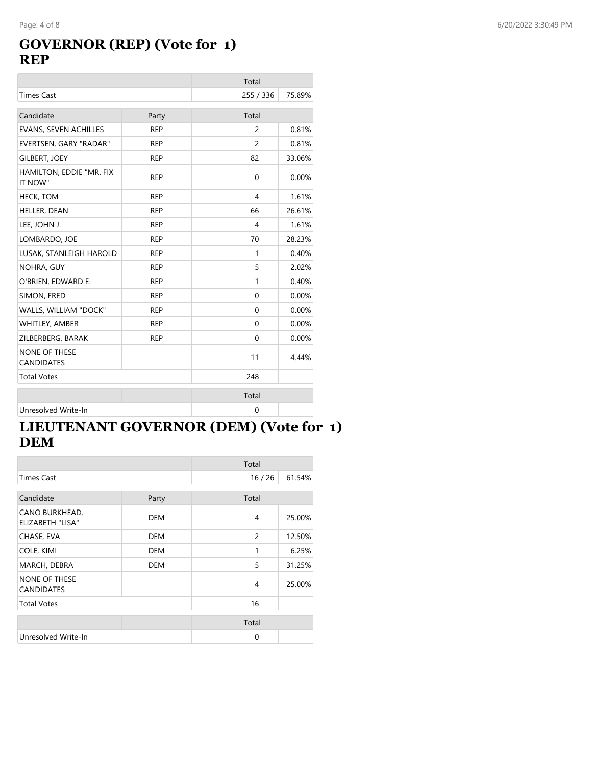# **GOVERNOR (REP) (Vote for 1) REP**

|                                           |            | Total               |        |
|-------------------------------------------|------------|---------------------|--------|
| <b>Times Cast</b>                         |            | 255 / 336<br>75.89% |        |
| Candidate                                 | Party      | Total               |        |
| <b>EVANS, SEVEN ACHILLES</b>              | <b>REP</b> | $\overline{c}$      | 0.81%  |
| EVERTSEN, GARY "RADAR"                    | <b>REP</b> | 2                   | 0.81%  |
| <b>GILBERT, JOEY</b>                      | <b>REP</b> | 82                  | 33.06% |
| HAMILTON, EDDIE "MR. FIX<br>IT NOW"       | <b>REP</b> | 0                   | 0.00%  |
| <b>HECK, TOM</b>                          | <b>REP</b> | 4                   | 1.61%  |
| HELLER, DEAN                              | <b>REP</b> | 66                  | 26.61% |
| LEE, JOHN J.                              | <b>REP</b> | $\overline{4}$      | 1.61%  |
| LOMBARDO, JOE                             | <b>REP</b> | 70                  | 28.23% |
| LUSAK, STANLEIGH HAROLD                   | <b>REP</b> | 1                   | 0.40%  |
| NOHRA, GUY                                | <b>REP</b> | 5                   | 2.02%  |
| O'BRIEN, EDWARD E.                        | <b>REP</b> | $\mathbf{1}$        | 0.40%  |
| SIMON, FRED                               | <b>REP</b> | 0                   | 0.00%  |
| WALLS, WILLIAM "DOCK"                     | <b>REP</b> | 0                   | 0.00%  |
| WHITLEY, AMBER                            | <b>REP</b> | 0                   | 0.00%  |
| ZILBERBERG, BARAK                         | <b>REP</b> | 0                   | 0.00%  |
| <b>NONE OF THESE</b><br><b>CANDIDATES</b> |            | 11                  | 4.44%  |
| <b>Total Votes</b>                        |            | 248                 |        |
|                                           |            | Total               |        |
| Unresolved Write-In                       |            | 0                   |        |

## **LIEUTENANT GOVERNOR (DEM) (Vote for 1) DEM**

|                                           |            | Total          |        |
|-------------------------------------------|------------|----------------|--------|
| Times Cast                                |            | 16/26          | 61.54% |
| Candidate                                 | Party      | Total          |        |
|                                           |            |                |        |
| CANO BURKHEAD,<br><b>ELIZABETH "LISA"</b> | <b>DEM</b> | 4              | 25.00% |
| CHASE, EVA                                | <b>DEM</b> | $\overline{c}$ | 12.50% |
| COLE, KIMI                                | <b>DEM</b> | 1              | 6.25%  |
| MARCH, DEBRA                              | <b>DEM</b> | 5              | 31.25% |
| <b>NONE OF THESE</b><br><b>CANDIDATES</b> |            | 4              | 25.00% |
| <b>Total Votes</b>                        |            | 16             |        |
|                                           |            |                |        |
|                                           |            | Total          |        |
| Unresolved Write-In                       |            | $\mathbf 0$    |        |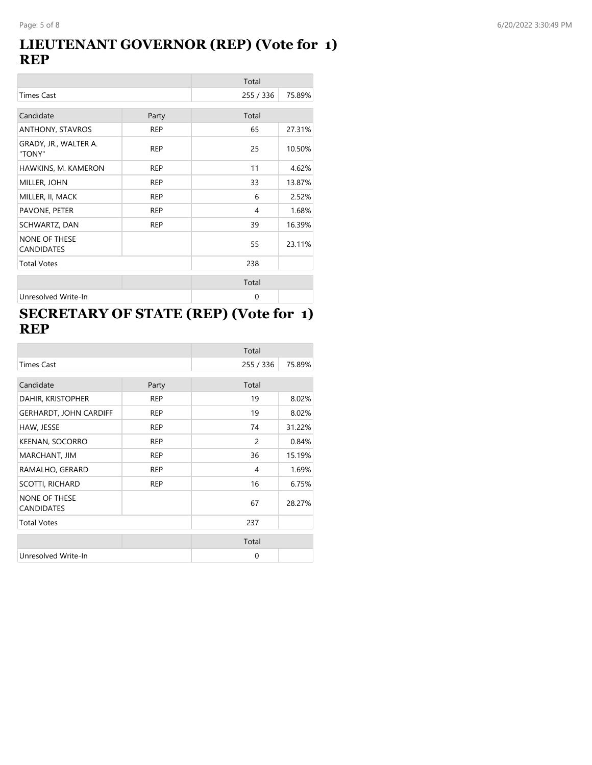#### **LIEUTENANT GOVERNOR (REP) (Vote for 1) REP**

|                                           |            | Total     |        |
|-------------------------------------------|------------|-----------|--------|
| <b>Times Cast</b>                         |            | 255 / 336 | 75.89% |
| Candidate                                 | Party      | Total     |        |
| ANTHONY, STAVROS                          | <b>REP</b> | 65        | 27.31% |
| GRADY, JR., WALTER A.<br>"TONY"           | <b>REP</b> | 25        | 10.50% |
| HAWKINS, M. KAMERON                       | <b>REP</b> | 11        | 4.62%  |
| MILLER, JOHN                              | <b>REP</b> | 33        | 13.87% |
| MILLER, II, MACK                          | <b>REP</b> | 6         | 2.52%  |
| PAVONE, PETER                             | <b>REP</b> | 4         | 1.68%  |
| SCHWARTZ, DAN                             | <b>REP</b> | 39        | 16.39% |
| <b>NONE OF THESE</b><br><b>CANDIDATES</b> |            | 55        | 23.11% |
| <b>Total Votes</b>                        |            | 238       |        |
|                                           |            | Total     |        |
| Unresolved Write-In                       |            | 0         |        |

### **SECRETARY OF STATE (REP) (Vote for 1) REP**

|                                           |            | Total     |        |
|-------------------------------------------|------------|-----------|--------|
| <b>Times Cast</b>                         |            | 255 / 336 | 75.89% |
| Candidate                                 | Party      | Total     |        |
| DAHIR, KRISTOPHER                         | <b>REP</b> | 19        | 8.02%  |
| <b>GERHARDT, JOHN CARDIFF</b>             | <b>REP</b> | 19        | 8.02%  |
| HAW, JESSE                                | <b>REP</b> | 74        | 31.22% |
| <b>KEENAN, SOCORRO</b>                    | <b>REP</b> | 2         | 0.84%  |
| MARCHANT, JIM                             | <b>REP</b> | 36        | 15.19% |
| RAMALHO, GERARD                           | <b>REP</b> | 4         | 1.69%  |
| <b>SCOTTI, RICHARD</b>                    | <b>REP</b> | 16        | 6.75%  |
| <b>NONE OF THESE</b><br><b>CANDIDATES</b> |            | 67        | 28.27% |
| <b>Total Votes</b>                        |            | 237       |        |
|                                           |            | Total     |        |
| Unresolved Write-In                       |            | $\Omega$  |        |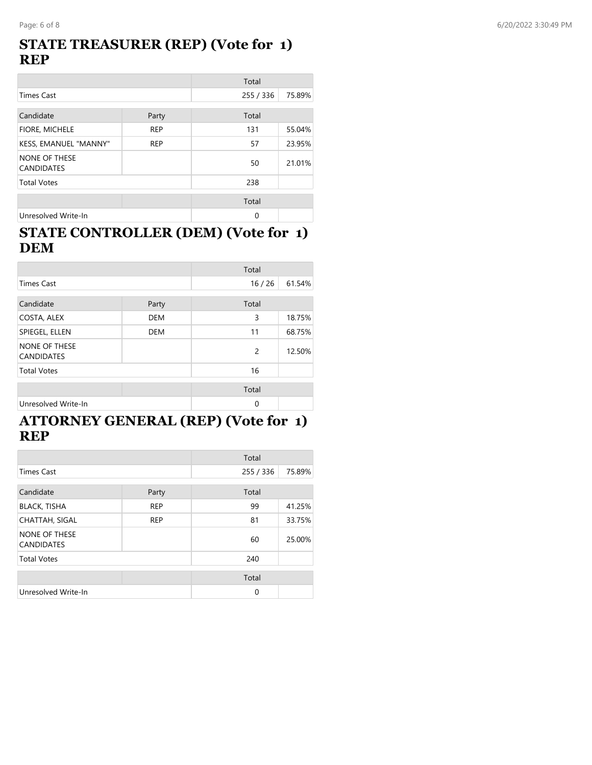#### **STATE TREASURER (REP) (Vote for 1) REP**

|                                           |            | Total     |        |
|-------------------------------------------|------------|-----------|--------|
| <b>Times Cast</b>                         |            | 255 / 336 | 75.89% |
| Candidate                                 | Party      | Total     |        |
| FIORE, MICHELE                            | <b>REP</b> | 131       | 55.04% |
| KESS, EMANUEL "MANNY"                     | <b>REP</b> | 57        | 23.95% |
| <b>NONE OF THESE</b><br><b>CANDIDATES</b> |            | 50        | 21.01% |
| <b>Total Votes</b>                        |            | 238       |        |
|                                           |            | Total     |        |
| Unresolved Write-In                       |            | 0         |        |

#### **STATE CONTROLLER (DEM) (Vote for 1) DEM**

|                                           |            | Total         |        |
|-------------------------------------------|------------|---------------|--------|
| <b>Times Cast</b>                         |            | 16/26         | 61.54% |
| Candidate                                 | Party      | Total         |        |
| COSTA, ALEX                               | <b>DEM</b> | 3             | 18.75% |
| SPIEGEL, ELLEN                            | <b>DEM</b> | 11            | 68.75% |
| <b>NONE OF THESE</b><br><b>CANDIDATES</b> |            | $\mathcal{P}$ | 12.50% |
| <b>Total Votes</b>                        |            | 16            |        |
|                                           |            | Total         |        |
| Unresolved Write-In                       |            | $\Omega$      |        |

#### **ATTORNEY GENERAL (REP) (Vote for 1) REP**

|                                    |            | Total       |        |
|------------------------------------|------------|-------------|--------|
| <b>Times Cast</b>                  |            | 255 / 336   | 75.89% |
| Candidate                          | Party      | Total       |        |
| <b>BLACK, TISHA</b>                | <b>REP</b> | 99          | 41.25% |
| <b>CHATTAH, SIGAL</b>              | <b>REP</b> | 81          | 33.75% |
| NONE OF THESE<br><b>CANDIDATES</b> |            | 60          | 25.00% |
| <b>Total Votes</b>                 |            | 240         |        |
|                                    |            | Total       |        |
| Unresolved Write-In                |            | $\mathbf 0$ |        |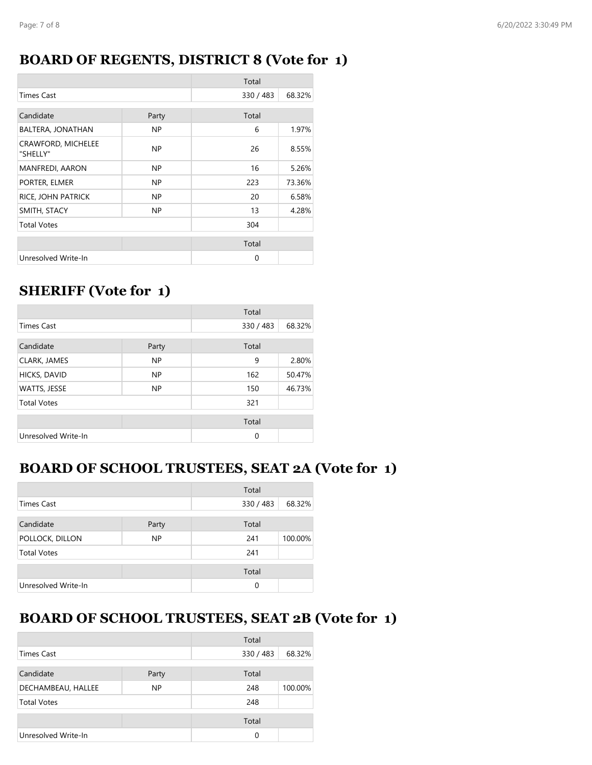#### **BOARD OF REGENTS, DISTRICT 8 (Vote for 1)**

|                                |       | Total       |        |
|--------------------------------|-------|-------------|--------|
| <b>Times Cast</b>              |       | 330 / 483   | 68.32% |
| Candidate                      | Party | Total       |        |
| BALTERA, JONATHAN              | NP.   | 6           | 1.97%  |
| CRAWFORD, MICHELEE<br>"SHELLY" | NP.   | 26          | 8.55%  |
| <b>MANFREDI, AARON</b>         | NP.   | 16          | 5.26%  |
| PORTER, ELMER                  | NP.   | 223         | 73.36% |
| RICE, JOHN PATRICK             | NP.   | 20          | 6.58%  |
| SMITH, STACY                   | NP.   | 13          | 4.28%  |
| <b>Total Votes</b>             |       | 304         |        |
|                                |       | Total       |        |
| Unresolved Write-In            |       | $\mathbf 0$ |        |

### **SHERIFF (Vote for 1)**

|                     |           | Total     |        |
|---------------------|-----------|-----------|--------|
| <b>Times Cast</b>   |           | 330 / 483 | 68.32% |
| Candidate           | Party     | Total     |        |
| CLARK, JAMES        | <b>NP</b> | 9         | 2.80%  |
| HICKS, DAVID        | <b>NP</b> | 162       | 50.47% |
| WATTS, JESSE        | NP        | 150       | 46.73% |
| <b>Total Votes</b>  |           | 321       |        |
|                     |           | Total     |        |
| Unresolved Write-In |           | 0         |        |

#### **BOARD OF SCHOOL TRUSTEES, SEAT 2A (Vote for 1)**

|                              |  | Total     |         |
|------------------------------|--|-----------|---------|
| Times Cast                   |  | 330 / 483 | 68.32%  |
| Candidate<br>Party           |  | Total     |         |
| POLLOCK, DILLON<br><b>NP</b> |  | 241       | 100.00% |
| <b>Total Votes</b>           |  | 241       |         |
|                              |  | Total     |         |
| Unresolved Write-In          |  | 0         |         |

# **BOARD OF SCHOOL TRUSTEES, SEAT 2B (Vote for 1)**

|                     |       | Total     |         |
|---------------------|-------|-----------|---------|
| Times Cast          |       | 330 / 483 | 68.32%  |
| Candidate           | Party | Total     |         |
| DECHAMBEAU, HALLEE  | NP    | 248       | 100.00% |
| <b>Total Votes</b>  |       | 248       |         |
|                     |       | Total     |         |
| Unresolved Write-In |       | 0         |         |